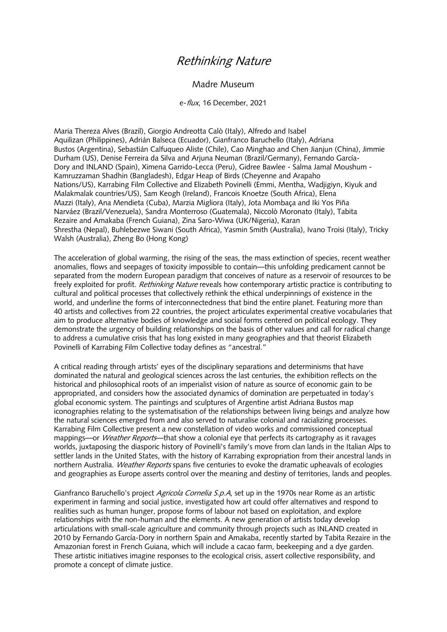## Rethinking Nature

## Madre Museum

e-flux, 16 December, 2021

Maria Thereza Alves (Brazil), Giorgio Andreotta Calò (Italy), Alfredo and Isabel Aquilizan (Philippines), Adrián Balseca (Ecuador), Gianfranco Baruchello (Italy), Adriana Bustos (Argentina), Sebastián Calfuqueo Aliste (Chile), Cao Minghao and Chen Jianjun (China), Jimmie Durham (US), Denise Ferreira da Silva and Arjuna Neuman (Brazil/Germany), Fernando García-Dory and INLAND (Spain), Ximena Garrido-Lecca (Peru), Gidree Bawlee - Salma Jamal Moushum - Kamruzzaman Shadhin (Bangladesh), Edgar Heap of Birds (Cheyenne and Arapaho Nations/US), Karrabing Film Collective and Elizabeth Povinelli (Emmi, Mentha, Wadjigiyn, Kiyuk and Malakmalak countries/US), Sam Keogh (Ireland), Francois Knoetze (South Africa), Elena Mazzi (Italy), Ana Mendieta (Cuba), Marzia Migliora (Italy), Jota Mombaça and Iki Yos Piña Narváez (Brazil/Venezuela), Sandra Monterroso (Guatemala), Niccolò Moronato (Italy), Tabita Rezaire and Amakaba (French Guiana), Zina Saro-Wiwa (UK/Nigeria), Karan Shrestha (Nepal), Buhlebezwe Siwani (South Africa), Yasmin Smith (Australia), Ivano Troisi (Italy), Tricky Walsh (Australia), Zheng Bo (Hong Kong)

The acceleration of global warming, the rising of the seas, the mass extinction of species, recent weather anomalies, flows and seepages of toxicity impossible to contain—this unfolding predicament cannot be separated from the modern European paradigm that conceives of nature as a reservoir of resources to be freely exploited for profit. *Rethinking Nature* reveals how contemporary artistic practice is contributing to cultural and political processes that collectively rethink the ethical underpinnings of existence in the world, and underline the forms of interconnectedness that bind the entire planet. Featuring more than 40 artists and collectives from 22 countries, the project articulates experimental creative vocabularies that aim to produce alternative bodies of knowledge and social forms centered on political ecology. They demonstrate the urgency of building relationships on the basis of other values and call for radical change to address a cumulative crisis that has long existed in many geographies and that theorist Elizabeth Povinelli of Karrabing Film Collective today defines as "ancestral."

A critical reading through artists' eyes of the disciplinary separations and determinisms that have dominated the natural and geological sciences across the last centuries, the exhibition reflects on the historical and philosophical roots of an imperialist vision of nature as source of economic gain to be appropriated, and considers how the associated dynamics of domination are perpetuated in today's global economic system. The paintings and sculptures of Argentine artist Adriana Bustos map iconographies relating to the systematisation of the relationships between living beings and analyze how the natural sciences emerged from and also served to naturalise colonial and racializing processes. Karrabing Film Collective present a new constellation of video works and commissioned conceptual mappings—or *Weather Reports*—that show a colonial eye that perfects its cartography as it ravages worlds, juxtaposing the diasporic history of Povinelli's family's move from clan lands in the Italian Alps to settler lands in the United States, with the history of Karrabing expropriation from their ancestral lands in northern Australia. Weather Reports spans five centuries to evoke the dramatic upheavals of ecologies and geographies as Europe asserts control over the meaning and destiny of territories, lands and peoples.

Gianfranco Baruchello's project *Agricola Cornelia S.p.A*, set up in the 1970s near Rome as an artistic experiment in farming and social justice, investigated how art could offer alternatives and respond to realities such as human hunger, propose forms of labour not based on exploitation, and explore relationships with the non-human and the elements. A new generation of artists today develop articulations with small-scale agriculture and community through projects such as INLAND created in 2010 by Fernando García-Dory in northern Spain and Amakaba, recently started by Tabita Rezaire in the Amazonian forest in French Guiana, which will include a cacao farm, beekeeping and a dye garden. These artistic initiatives imagine responses to the ecological crisis, assert collective responsibility, and promote a concept of climate justice.